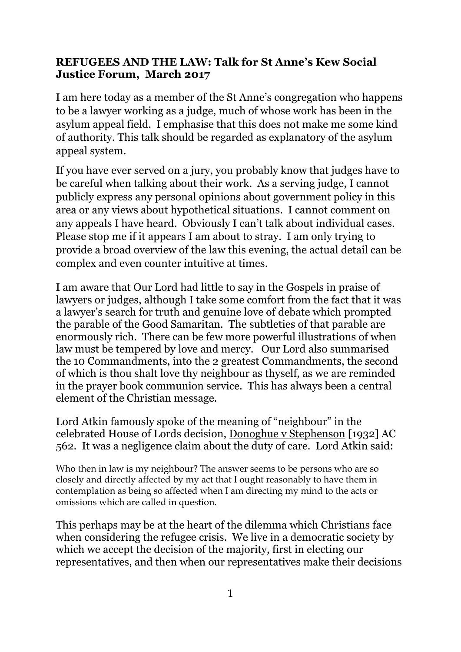#### **REFUGEES AND THE LAW: Talk for St Anne's Kew Social Justice Forum, March 2017**

I am here today as a member of the St Anne's congregation who happens to be a lawyer working as a judge, much of whose work has been in the asylum appeal field. I emphasise that this does not make me some kind of authority. This talk should be regarded as explanatory of the asylum appeal system.

If you have ever served on a jury, you probably know that judges have to be careful when talking about their work. As a serving judge, I cannot publicly express any personal opinions about government policy in this area or any views about hypothetical situations. I cannot comment on any appeals I have heard. Obviously I can't talk about individual cases. Please stop me if it appears I am about to stray. I am only trying to provide a broad overview of the law this evening, the actual detail can be complex and even counter intuitive at times.

I am aware that Our Lord had little to say in the Gospels in praise of lawyers or judges, although I take some comfort from the fact that it was a lawyer's search for truth and genuine love of debate which prompted the parable of the Good Samaritan. The subtleties of that parable are enormously rich. There can be few more powerful illustrations of when law must be tempered by love and mercy. Our Lord also summarised the 10 Commandments, into the 2 greatest Commandments, the second of which is thou shalt love thy neighbour as thyself, as we are reminded in the prayer book communion service. This has always been a central element of the Christian message.

Lord Atkin famously spoke of the meaning of "neighbour" in the celebrated House of Lords decision, Donoghue v Stephenson [1932] AC 562. It was a negligence claim about the duty of care. Lord Atkin said:

Who then in law is my neighbour? The answer seems to be persons who are so closely and directly affected by my act that I ought reasonably to have them in contemplation as being so affected when I am directing my mind to the acts or omissions which are called in question.

This perhaps may be at the heart of the dilemma which Christians face when considering the refugee crisis. We live in a democratic society by which we accept the decision of the majority, first in electing our representatives, and then when our representatives make their decisions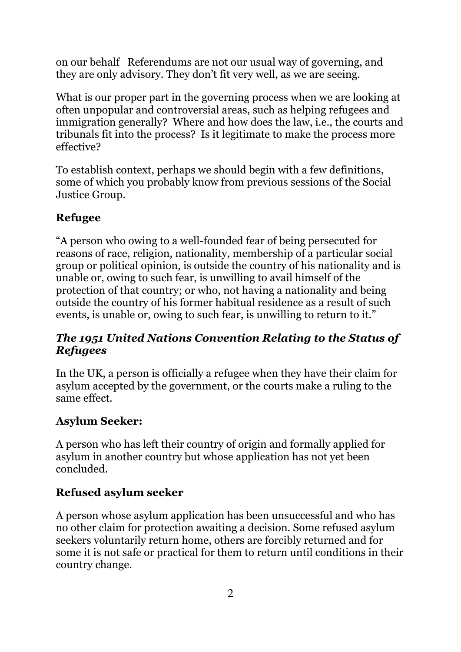on our behalf Referendums are not our usual way of governing, and they are only advisory. They don't fit very well, as we are seeing.

What is our proper part in the governing process when we are looking at often unpopular and controversial areas, such as helping refugees and immigration generally? Where and how does the law, i.e., the courts and tribunals fit into the process? Is it legitimate to make the process more effective?

To establish context, perhaps we should begin with a few definitions, some of which you probably know from previous sessions of the Social Justice Group.

## **Refugee**

"A person who owing to a well-founded fear of being persecuted for reasons of race, religion, nationality, membership of a particular social group or political opinion, is outside the country of his nationality and is unable or, owing to such fear, is unwilling to avail himself of the protection of that country; or who, not having a nationality and being outside the country of his former habitual residence as a result of such events, is unable or, owing to such fear, is unwilling to return to it."

#### *The 1951 United Nations Convention Relating to the Status of Refugees*

In the UK, a person is officially a refugee when they have their claim for asylum accepted by the government, or the courts make a ruling to the same effect.

## **Asylum Seeker:**

A person who has left their country of origin and formally applied for asylum in another country but whose application has not yet been concluded.

## **Refused asylum seeker**

A person whose asylum application has been unsuccessful and who has no other claim for protection awaiting a decision. Some refused asylum seekers voluntarily return home, others are forcibly returned and for some it is not safe or practical for them to return until conditions in their country change.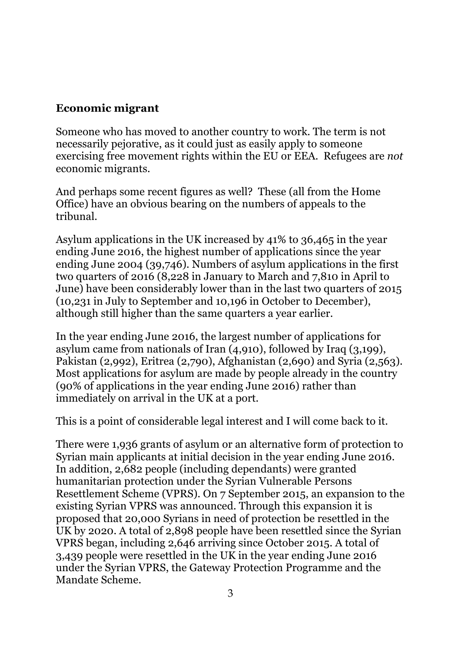# **Economic migrant**

Someone who has moved to another country to work. The term is not necessarily pejorative, as it could just as easily apply to someone exercising free movement rights within the EU or EEA. Refugees are *not* economic migrants.

And perhaps some recent figures as well? These (all from the Home Office) have an obvious bearing on the numbers of appeals to the tribunal.

Asylum applications in the UK increased by 41% to 36,465 in the year ending June 2016, the highest number of applications since the year ending June 2004 (39,746). Numbers of asylum applications in the first two quarters of 2016 (8,228 in January to March and 7,810 in April to June) have been considerably lower than in the last two quarters of 2015 (10,231 in July to September and 10,196 in October to December), although still higher than the same quarters a year earlier.

In the year ending June 2016, the largest number of applications for asylum came from nationals of Iran (4,910), followed by Iraq (3,199), Pakistan (2,992), Eritrea (2,790), Afghanistan (2,690) and Syria (2,563). Most applications for asylum are made by people already in the country (90% of applications in the year ending June 2016) rather than immediately on arrival in the UK at a port.

This is a point of considerable legal interest and I will come back to it.

There were 1,936 grants of asylum or an alternative form of protection to Syrian main applicants at initial decision in the year ending June 2016. In addition, 2,682 people (including dependants) were granted humanitarian protection under the Syrian Vulnerable Persons Resettlement Scheme (VPRS). On 7 September 2015, an expansion to the existing Syrian VPRS was announced. Through this expansion it is proposed that 20,000 Syrians in need of protection be resettled in the UK by 2020. A total of 2,898 people have been resettled since the Syrian VPRS began, including 2,646 arriving since October 2015. A total of 3,439 people were resettled in the UK in the year ending June 2016 under the Syrian VPRS, the Gateway Protection Programme and the Mandate Scheme.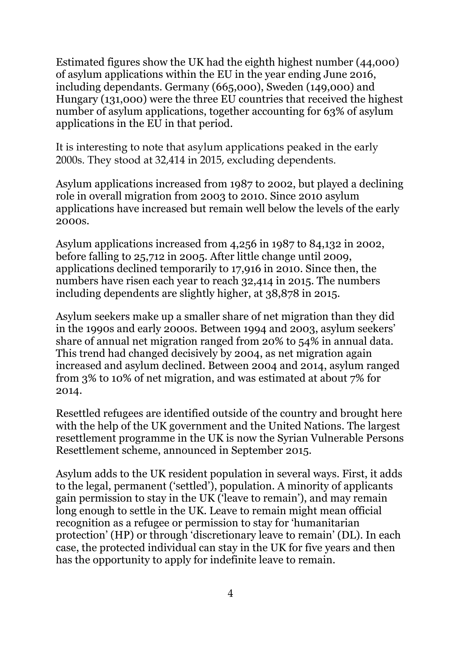Estimated figures show the UK had the eighth highest number (44,000) of asylum applications within the EU in the year ending June 2016, including dependants. Germany (665,000), Sweden (149,000) and Hungary (131,000) were the three EU countries that received the highest number of asylum applications, together accounting for 63% of asylum applications in the EU in that period.

It is interesting to note that asylum applications peaked in the early 2000s. They stood at 32,414 in 2015, excluding dependents.

Asylum applications increased from 1987 to 2002, but played a declining role in overall migration from 2003 to 2010. Since 2010 asylum applications have increased but remain well below the levels of the early 2000s.

Asylum applications increased from 4,256 in 1987 to 84,132 in 2002, before falling to 25,712 in 2005. After little change until 2009, applications declined temporarily to 17,916 in 2010. Since then, the numbers have risen each year to reach 32,414 in 2015. The numbers including dependents are slightly higher, at 38,878 in 2015.

Asylum seekers make up a smaller share of net migration than they did in the 1990s and early 2000s. Between 1994 and 2003, asylum seekers' share of annual net migration ranged from 20% to 54% in annual data. This trend had changed decisively by 2004, as net migration again increased and asylum declined. Between 2004 and 2014, asylum ranged from 3% to 10% of net migration, and was estimated at about 7% for 2014.

Resettled refugees are identified outside of the country and brought here with the help of the UK government and the United Nations. The largest resettlement programme in the UK is now the Syrian Vulnerable Persons Resettlement scheme, announced in September 2015.

Asylum adds to the UK resident population in several ways. First, it adds to the legal, permanent ('settled'), population. A minority of applicants gain permission to stay in the UK ('leave to remain'), and may remain long enough to settle in the UK. Leave to remain might mean official recognition as a refugee or permission to stay for 'humanitarian protection' (HP) or through 'discretionary leave to remain' (DL). In each case, the protected individual can stay in the UK for five years and then has the opportunity to apply for indefinite leave to remain.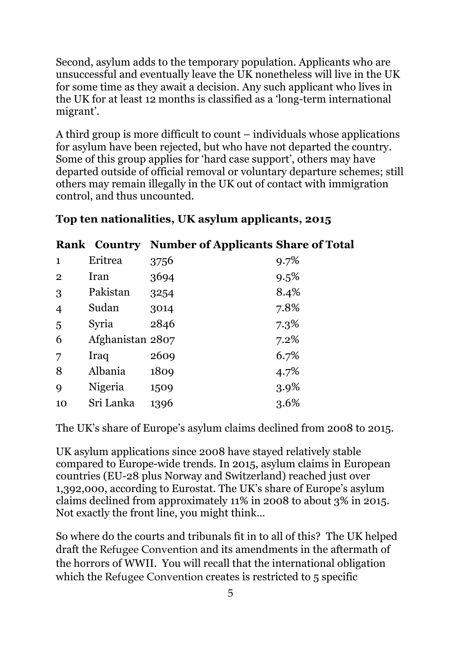Second, asylum adds to the temporary population. Applicants who are unsuccessful and eventually leave the UK nonetheless will live in the UK for some time as they await a decision. Any such applicant who lives in the UK for at least 12 months is classified as a 'long-term international migrant'.

A third group is more difficult to count – individuals whose applications for asylum have been rejected, but who have not departed the country. Some of this group applies for 'hard case support', others may have departed outside of official removal or voluntary departure schemes; still others may remain illegally in the UK out of contact with immigration control, and thus uncounted.

#### **Top ten nationalities, UK asylum applicants, 2015**

**Rank Country Number of Applicants Share of Total**

| $\mathbf{1}$   | Eritrea          | 3756 | 9.7%    |
|----------------|------------------|------|---------|
| $\overline{2}$ | Iran             | 3694 | 9.5%    |
| 3              | Pakistan         | 3254 | 8.4%    |
| $\overline{4}$ | Sudan            | 3014 | 7.8%    |
| 5              | Syria            | 2846 | $7.3\%$ |
| 6              | Afghanistan 2807 |      | 7.2%    |
| 7              | Iraq             | 2609 | 6.7%    |
| 8              | Albania          | 1809 | 4.7%    |
| $\mathbf Q$    | Nigeria          | 1509 | 3.9%    |
| 10             | Sri Lanka        | 1396 | 3.6%    |

The UK's share of Europe's asylum claims declined from 2008 to 2015.

UK asylum applications since 2008 have stayed relatively stable compared to Europe-wide trends. In 2015, asylum claims in European countries (EU-28 plus Norway and Switzerland) reached just over 1,392,000, according to Eurostat. The UK's share of Europe's asylum claims declined from approximately 11% in 2008 to about 3% in 2015. Not exactly the front line, you might think…

So where do the courts and tribunals fit in to all of this? The UK helped draft the Refugee Convention and its amendments in the aftermath of the horrors of WWII. You will recall that the international obligation which the Refugee Convention creates is restricted to 5 specific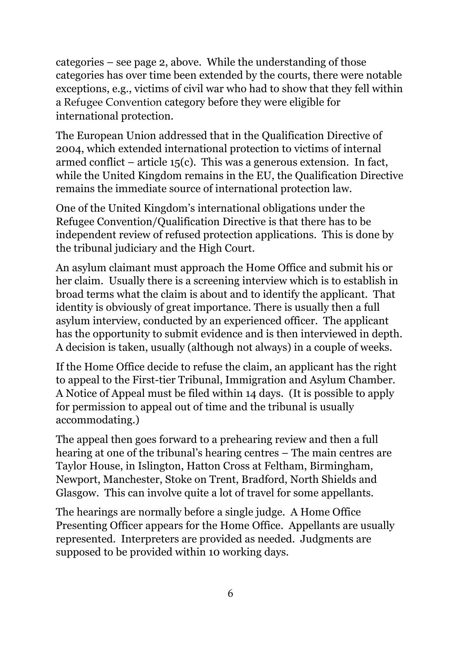categories – see page 2, above. While the understanding of those categories has over time been extended by the courts, there were notable exceptions, e.g., victims of civil war who had to show that they fell within a Refugee Convention category before they were eligible for international protection.

The European Union addressed that in the Qualification Directive of 2004, which extended international protection to victims of internal armed conflict – article  $15(c)$ . This was a generous extension. In fact, while the United Kingdom remains in the EU, the Qualification Directive remains the immediate source of international protection law.

One of the United Kingdom's international obligations under the Refugee Convention/Qualification Directive is that there has to be independent review of refused protection applications. This is done by the tribunal judiciary and the High Court.

An asylum claimant must approach the Home Office and submit his or her claim. Usually there is a screening interview which is to establish in broad terms what the claim is about and to identify the applicant. That identity is obviously of great importance. There is usually then a full asylum interview, conducted by an experienced officer. The applicant has the opportunity to submit evidence and is then interviewed in depth. A decision is taken, usually (although not always) in a couple of weeks.

If the Home Office decide to refuse the claim, an applicant has the right to appeal to the First-tier Tribunal, Immigration and Asylum Chamber. A Notice of Appeal must be filed within 14 days. (It is possible to apply for permission to appeal out of time and the tribunal is usually accommodating.)

The appeal then goes forward to a prehearing review and then a full hearing at one of the tribunal's hearing centres – The main centres are Taylor House, in Islington, Hatton Cross at Feltham, Birmingham, Newport, Manchester, Stoke on Trent, Bradford, North Shields and Glasgow. This can involve quite a lot of travel for some appellants.

The hearings are normally before a single judge. A Home Office Presenting Officer appears for the Home Office. Appellants are usually represented. Interpreters are provided as needed. Judgments are supposed to be provided within 10 working days.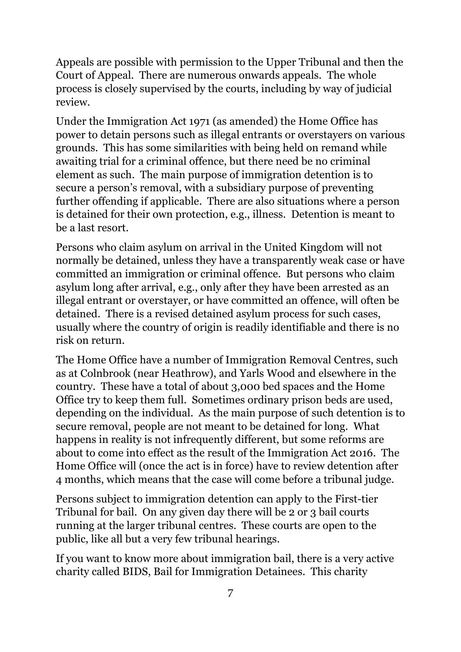Appeals are possible with permission to the Upper Tribunal and then the Court of Appeal. There are numerous onwards appeals. The whole process is closely supervised by the courts, including by way of judicial review.

Under the Immigration Act 1971 (as amended) the Home Office has power to detain persons such as illegal entrants or overstayers on various grounds. This has some similarities with being held on remand while awaiting trial for a criminal offence, but there need be no criminal element as such. The main purpose of immigration detention is to secure a person's removal, with a subsidiary purpose of preventing further offending if applicable. There are also situations where a person is detained for their own protection, e.g., illness. Detention is meant to be a last resort.

Persons who claim asylum on arrival in the United Kingdom will not normally be detained, unless they have a transparently weak case or have committed an immigration or criminal offence. But persons who claim asylum long after arrival, e.g., only after they have been arrested as an illegal entrant or overstayer, or have committed an offence, will often be detained. There is a revised detained asylum process for such cases, usually where the country of origin is readily identifiable and there is no risk on return.

The Home Office have a number of Immigration Removal Centres, such as at Colnbrook (near Heathrow), and Yarls Wood and elsewhere in the country. These have a total of about 3,000 bed spaces and the Home Office try to keep them full. Sometimes ordinary prison beds are used, depending on the individual. As the main purpose of such detention is to secure removal, people are not meant to be detained for long. What happens in reality is not infrequently different, but some reforms are about to come into effect as the result of the Immigration Act 2016. The Home Office will (once the act is in force) have to review detention after 4 months, which means that the case will come before a tribunal judge.

Persons subject to immigration detention can apply to the First-tier Tribunal for bail. On any given day there will be 2 or 3 bail courts running at the larger tribunal centres. These courts are open to the public, like all but a very few tribunal hearings.

If you want to know more about immigration bail, there is a very active charity called BIDS, Bail for Immigration Detainees. This charity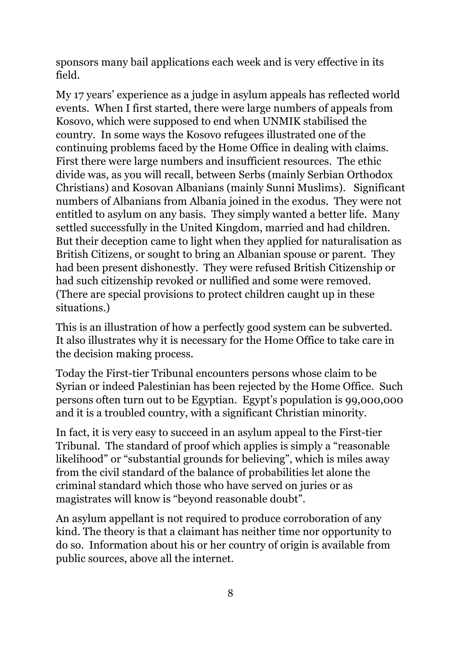sponsors many bail applications each week and is very effective in its field.

My 17 years' experience as a judge in asylum appeals has reflected world events. When I first started, there were large numbers of appeals from Kosovo, which were supposed to end when UNMIK stabilised the country. In some ways the Kosovo refugees illustrated one of the continuing problems faced by the Home Office in dealing with claims. First there were large numbers and insufficient resources. The ethic divide was, as you will recall, between Serbs (mainly Serbian Orthodox Christians) and Kosovan Albanians (mainly Sunni Muslims). Significant numbers of Albanians from Albania joined in the exodus. They were not entitled to asylum on any basis. They simply wanted a better life. Many settled successfully in the United Kingdom, married and had children. But their deception came to light when they applied for naturalisation as British Citizens, or sought to bring an Albanian spouse or parent. They had been present dishonestly. They were refused British Citizenship or had such citizenship revoked or nullified and some were removed. (There are special provisions to protect children caught up in these situations.)

This is an illustration of how a perfectly good system can be subverted. It also illustrates why it is necessary for the Home Office to take care in the decision making process.

Today the First-tier Tribunal encounters persons whose claim to be Syrian or indeed Palestinian has been rejected by the Home Office. Such persons often turn out to be Egyptian. Egypt's population is 99,000,000 and it is a troubled country, with a significant Christian minority.

In fact, it is very easy to succeed in an asylum appeal to the First-tier Tribunal. The standard of proof which applies is simply a "reasonable likelihood" or "substantial grounds for believing", which is miles away from the civil standard of the balance of probabilities let alone the criminal standard which those who have served on juries or as magistrates will know is "beyond reasonable doubt".

An asylum appellant is not required to produce corroboration of any kind. The theory is that a claimant has neither time nor opportunity to do so. Information about his or her country of origin is available from public sources, above all the internet.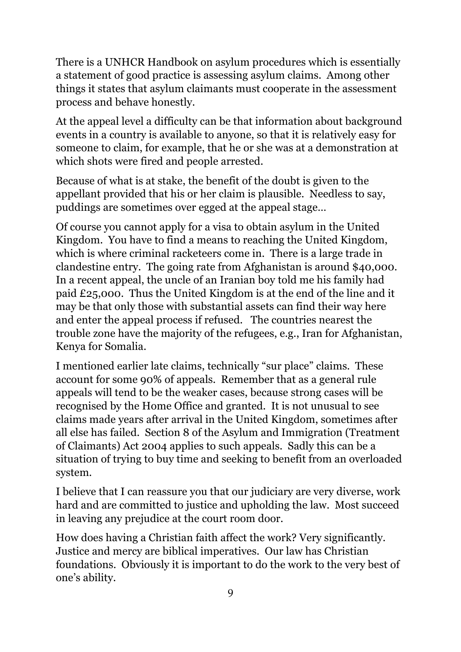There is a UNHCR Handbook on asylum procedures which is essentially a statement of good practice is assessing asylum claims. Among other things it states that asylum claimants must cooperate in the assessment process and behave honestly.

At the appeal level a difficulty can be that information about background events in a country is available to anyone, so that it is relatively easy for someone to claim, for example, that he or she was at a demonstration at which shots were fired and people arrested.

Because of what is at stake, the benefit of the doubt is given to the appellant provided that his or her claim is plausible. Needless to say, puddings are sometimes over egged at the appeal stage…

Of course you cannot apply for a visa to obtain asylum in the United Kingdom. You have to find a means to reaching the United Kingdom, which is where criminal racketeers come in. There is a large trade in clandestine entry. The going rate from Afghanistan is around \$40,000. In a recent appeal, the uncle of an Iranian boy told me his family had paid £25,000. Thus the United Kingdom is at the end of the line and it may be that only those with substantial assets can find their way here and enter the appeal process if refused. The countries nearest the trouble zone have the majority of the refugees, e.g., Iran for Afghanistan, Kenya for Somalia.

I mentioned earlier late claims, technically "sur place" claims. These account for some 90% of appeals. Remember that as a general rule appeals will tend to be the weaker cases, because strong cases will be recognised by the Home Office and granted. It is not unusual to see claims made years after arrival in the United Kingdom, sometimes after all else has failed. Section 8 of the Asylum and Immigration (Treatment of Claimants) Act 2004 applies to such appeals. Sadly this can be a situation of trying to buy time and seeking to benefit from an overloaded system.

I believe that I can reassure you that our judiciary are very diverse, work hard and are committed to justice and upholding the law. Most succeed in leaving any prejudice at the court room door.

How does having a Christian faith affect the work? Very significantly. Justice and mercy are biblical imperatives. Our law has Christian foundations. Obviously it is important to do the work to the very best of one's ability.